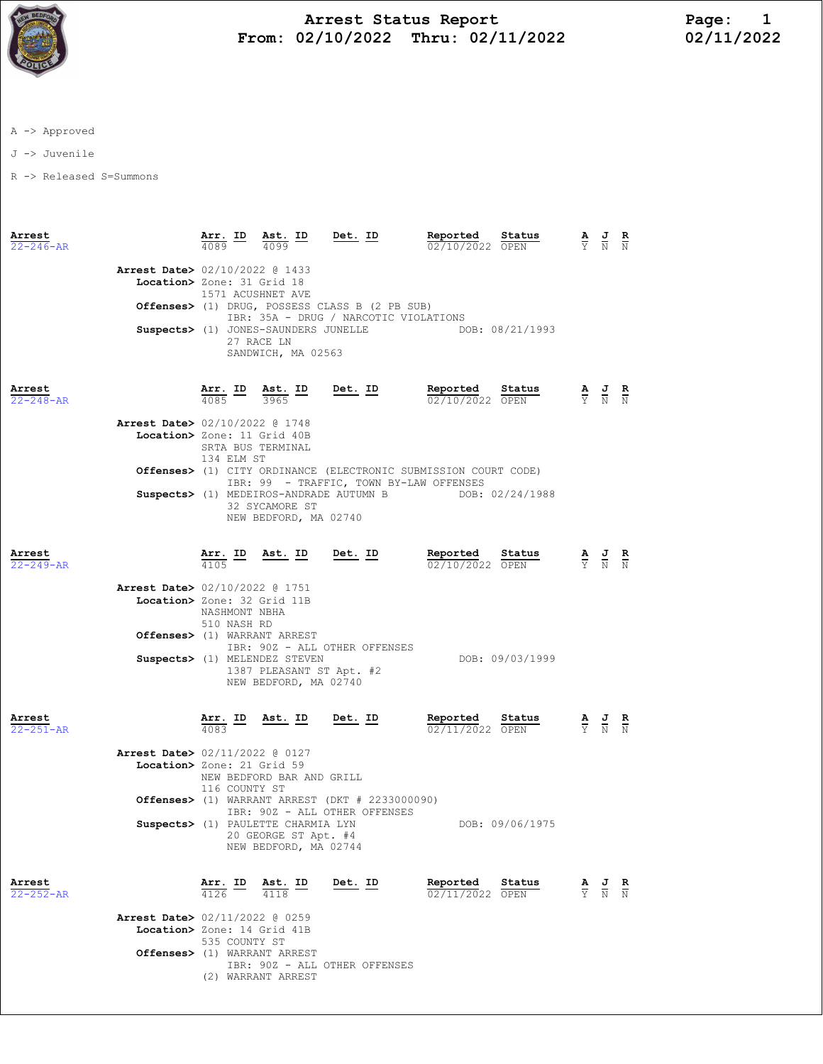

## Arrest Status Report Page: 1 From: 02/10/2022 Thru: 02/11/2022

A -> Approved

J -> Juvenile

R -> Released S=Summons

| Arrest<br>$22 - 246 - AR$ |                                                                                                         |                                 | $\frac{\text{Arr.}}{4089}$ ID $\frac{\text{Ast.}}{4099}$ ID Det. ID                 |                                                                                                                                                                                 | Reported                                     | Status<br>$\frac{6.27 - 6.04}{02/10/2022}$ $\frac{6.04048}{0PEN}$                                 | $\frac{\mathbf{A}}{\mathbf{Y}}$ $\frac{\mathbf{J}}{\mathbf{N}}$ $\frac{\mathbf{R}}{\mathbf{N}}$ |  |
|---------------------------|---------------------------------------------------------------------------------------------------------|---------------------------------|-------------------------------------------------------------------------------------|---------------------------------------------------------------------------------------------------------------------------------------------------------------------------------|----------------------------------------------|---------------------------------------------------------------------------------------------------|-------------------------------------------------------------------------------------------------|--|
|                           | Arrest Date> 02/10/2022 @ 1433<br>Location> Zone: 31 Grid 18                                            | 1571 ACUSHNET AVE               | 27 RACE LN<br>SANDWICH, MA 02563                                                    | Offenses> (1) DRUG, POSSESS CLASS B (2 PB SUB)<br>IBR: 35A - DRUG / NARCOTIC VIOLATIONS<br>Suspects> (1) JONES-SAUNDERS JUNELLE THE DOB: 08/21/1993                             |                                              |                                                                                                   |                                                                                                 |  |
| Arrest<br>$22 - 248 - AR$ |                                                                                                         |                                 | $\frac{\text{Arr.}}{4085}$ ID $\frac{\text{Ast.}}{3965}$ ID                         | Det. ID                                                                                                                                                                         |                                              | <b>Reported Status</b> $\frac{A}{2}$ <b>B</b><br>$\frac{J}{2}$ <b>R</b><br>$\frac{R}{N}$ <b>R</b> |                                                                                                 |  |
|                           | Arrest Date> 02/10/2022 @ 1748<br>Location> Zone: 11 Grid 40B                                           | SRTA BUS TERMINAL<br>134 ELM ST |                                                                                     |                                                                                                                                                                                 |                                              |                                                                                                   |                                                                                                 |  |
|                           |                                                                                                         |                                 | 32 SYCAMORE ST<br>NEW BEDFORD, MA 02740                                             | <b>Offenses&gt;</b> (1) CITY ORDINANCE (ELECTRONIC SUBMISSION COURT CODE)<br>IBR: 99 - TRAFFIC, TOWN BY-LAW OFFENSES<br>Suspects> (1) MEDEIROS-ANDRADE AUTUMN B DOB: 02/24/1988 |                                              |                                                                                                   |                                                                                                 |  |
| Arrest<br>$22 - 249 - AR$ | <b>Arrest Date&gt;</b> 02/10/2022 @ 1751                                                                |                                 | $\frac{\texttt{Arr.}}{4105}$ ID Ast. ID Det. ID                                     |                                                                                                                                                                                 | Reported Status<br>$\frac{02}{10/2022}$ OPEN | <u>Status</u>                                                                                     | $\frac{\mathbf{A}}{\mathbf{Y}}$ $\frac{\mathbf{J}}{\mathbf{N}}$ $\frac{\mathbf{R}}{\mathbf{N}}$ |  |
|                           | Location> Zone: 32 Grid 11B<br>Offenses> (1) WARRANT ARREST                                             | NASHMONT NBHA<br>510 NASH RD    | Suspects> (1) MELENDEZ STEVEN<br>1387 PLEASANT ST Apt. #2<br>NEW BEDFORD, MA 02740  | IBR: 90Z - ALL OTHER OFFENSES                                                                                                                                                   |                                              | DOB: 09/03/1999                                                                                   |                                                                                                 |  |
| Arrest<br>$22 - 251 - AR$ |                                                                                                         |                                 | $\frac{\texttt{Arr.}}{4083}$ ID Ast. ID Det. ID                                     |                                                                                                                                                                                 | Reported<br>02/11/2022 OPEN                  | Status                                                                                            | $\frac{\mathbf{A}}{\mathbf{Y}}$ $\frac{\mathbf{J}}{\mathbf{N}}$ $\frac{\mathbf{R}}{\mathbf{N}}$ |  |
|                           | Arrest Date> 02/11/2022 @ 0127<br>Location> Zone: 21 Grid 59                                            | 116 COUNTY ST                   | NEW BEDFORD BAR AND GRILL                                                           | Offenses> $(1)$ WARRANT ARREST $(DKT # 2233000090)$                                                                                                                             |                                              |                                                                                                   |                                                                                                 |  |
|                           |                                                                                                         |                                 | Suspects> (1) PAULETTE CHARMIA LYN<br>20 GEORGE ST Apt. #4<br>NEW BEDFORD, MA 02744 | IBR: 90Z - ALL OTHER OFFENSES                                                                                                                                                   |                                              | DOB: 09/06/1975                                                                                   |                                                                                                 |  |
| Arrest<br>22-252-AR       |                                                                                                         | $\frac{\texttt{Arr.}}{4126}$ ID | $\frac{\text{Ast.}}{4118}$ ID                                                       | $Det. ID$                                                                                                                                                                       | Reported<br>02/11/2022 OPEN                  | Status                                                                                            | $\frac{\mathbf{A}}{\mathbf{Y}}$ $\frac{\mathbf{J}}{\mathbf{N}}$ $\frac{\mathbf{R}}{\mathbf{N}}$ |  |
|                           | <b>Arrest Date&gt;</b> 02/11/2022 @ 0259<br>Location> Zone: 14 Grid 41B<br>Offenses> (1) WARRANT ARREST | 535 COUNTY ST                   |                                                                                     |                                                                                                                                                                                 |                                              |                                                                                                   |                                                                                                 |  |
|                           |                                                                                                         |                                 |                                                                                     | IBR: 90Z - ALL OTHER OFFENSES                                                                                                                                                   |                                              |                                                                                                   |                                                                                                 |  |

(2) WARRANT ARREST